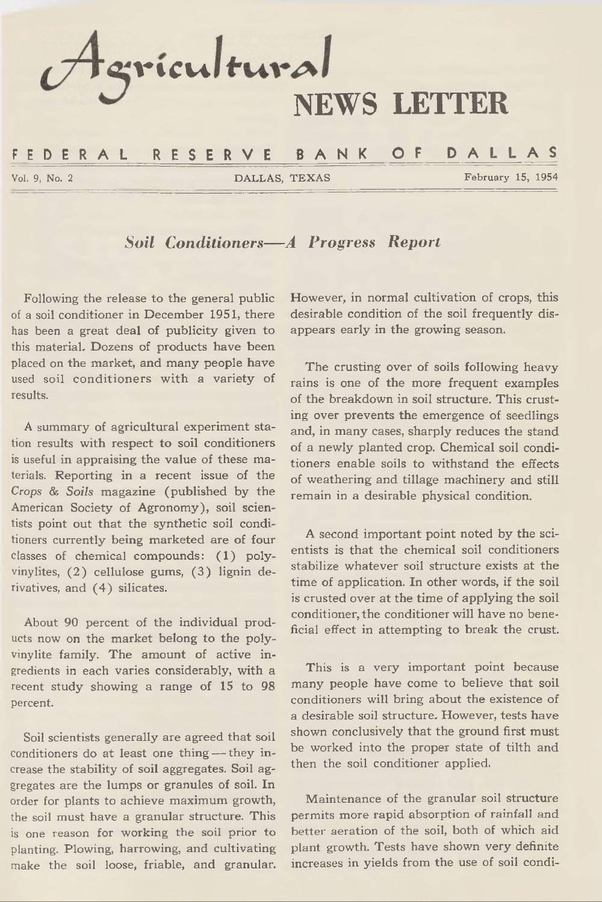

### *Soil Conditioners— A Progress Report*

**Following the release to the general public of a soil conditioner in December 1951, there has been a great deal of publicity given to this material. Dozens of products have been placed on the market, and many people have used soil conditioners with a variety of results.**

**A summary of agricultural experiment station results with respect to soil conditioners is useful in appraising the value of these materials. Reporting in a recent issue of the** *Crops* **&** *Soils* **magazine (published by the American Society of Agronomy), soil scientists point out that the synthetic soil conditioners currently being marketed are of four classes of chemical compounds: (1) polyvinylites, (2) cellulose gums, (3) lignin derivatives, and (4) silicates.**

**About 90 percent of the individual products now on the market belong to the polyvinylite family. The amount of active ingredients in each varies considerably, with a recent study showing a range of 15 to 98 percent.**

**Soil scientists generally are agreed that soil conditioners do at least one thing — they increase the stability of soil aggregates. Soil aggregates are the lumps or granules of soil. In order for plants to achieve maximum growth, the soil must have a granular structure. This is one reason for working the soil prior to planting. Plowing, harrowing, and cultivating make the soil loose, friable, and granular.** **However, in normal cultivation of crops, this desirable condition of the soil frequently disappears early in the growing season.**

**The crusting over of soils following heavy rains is one of the more frequent examples of the breakdown in soil structure. This crusting over prevents the emergence of seedlings and, in many cases, sharply reduces the stand of a newly planted crop. Chemical soil conditioners enable soils to withstand the effects of weathering and tillage machinery and still remain in a desirable physical condition.**

**A second important point noted by the scientists is that the chemical soil conditioners stabilize whatever soil structure exists at the time of application. In other words, if the soil is crusted over at the time of applying the soil conditioner, the conditioner will have no beneficial effect in attempting to break the crust.**

**This is a very important point because many people have come to believe that soil conditioners will bring about the existence of a desirable soil structure. However, tests have shown conclusively that the ground first must be worked into the proper state of tilth and then the soil conditioner applied.**

**Maintenance of the granular soil structure permits more rapid absorption of rainfall and better aeration of the soil, both of which aid plant growth. Tests have shown very definite increases in yields from the use of soil condi-**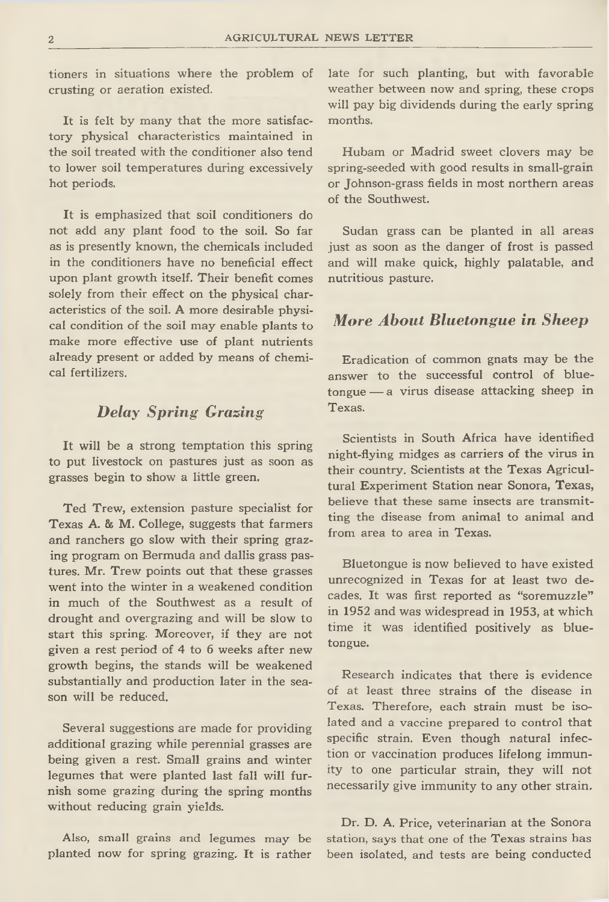**tioners in situations where the problem of crusting or aeration existed.**

**It is felt by many that the more satisfactory physical characteristics maintained in the soil treated with the conditioner also tend to lower soil temperatures during excessively hot periods.**

**It is emphasized that soil conditioners do not add any plant food to the soil. So far as is presently known, the chemicals included in the conditioners have no beneficial effect upon plant growth itself. Their benefit comes solely from their effect on the physical characteristics of the soil. A more desirable physical condition of the soil may enable plants to make more effective use of plant nutrients already present or added by means of chemical fertilizers.**

### *Delay Spring Grazing*

**It will be a strong temptation this spring to put livestock on pastures just as soon as grasses begin to show a little green.**

**Ted Trew, extension pasture specialist for Texas A. 8s M. College, suggests that farmers and ranchers go slow with their spring grazing program on Bermuda and dallis grass pastures. Mr. Trew points out that these grasses went into the winter in a weakened condition in much of the Southwest as a result of drought and overgrazing and will be slow to start this spring. Moreover, if they are not given a rest period of 4 to 6 weeks after new growth begins, the stands will be weakened substantially and production later in the season will be reduced.**

**Several suggestions are made for providing additional grazing while perennial grasses are being given a rest. Small grains and winter legumes that were planted last fall will furnish some grazing during the spring months without reducing grain yields.**

**Also, small grains and legumes may be planted now for spring grazing. It is rather** **late for such planting, but with favorable weather between now and spring, these crops will pay big dividends during the early spring months.**

**Hubam or Madrid sweet clovers may be spring-seeded with good results in small-grain or Johnson-grass fields in most northern areas of the Southwest.**

**Sudan grass can be planted in all areas just as soon as the danger of frost is passed and will make quick, highly palatable, and nutritious pasture.**

#### *More About Bluetongue in Sheep*

**Eradication of common gnats may be the answer to the successful control of bluetongue — a virus disease attacking sheep in Texas.**

**Scientists in South Africa have identified night-flying midges as carriers of the virus in their country. Scientists at the Texas Agricultural Experiment Station near Sonora, Texas, believe that these same insects are transmitting the disease from animal to animal and from area to area in Texas.**

**Bluetongue is now believed to have existed unrecognized in Texas for at least two decades. It was first reported as "soremuzzle" in 1952 and was widespread in 1953, at which time it was identified positively as bluetongue.**

**Research indicates that there is evidence of at least three strains of the disease in Texas. Therefore, each strain must be isolated and a vaccine prepared to control that specific strain. Even though natural infection or vaccination produces lifelong immunity to one particular strain, they will not necessarily give immunity to any other strain.**

**Dr. D. A. Price, veterinarian at the Sonora station, says that one of the Texas strains has been isolated, and tests are being conducted**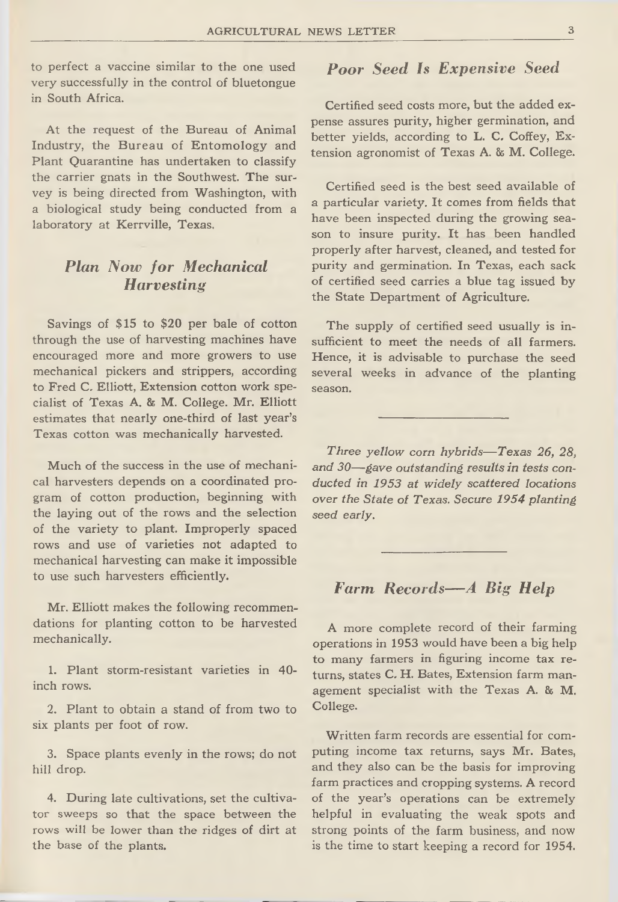**to perfect a vaccine similar to the one used very successfully in the control of bluetongue in South Africa.**

**At the request of the Bureau of Animal Industry, the Bureau of Entomology and Plant Quarantine has undertaken to classify the carrier gnats in the Southwest. The survey is being directed from Washington, with a biological study being conducted from a laboratory at Kerrville, Texas.**

### *Plan Now for Mechanical H arvesting*

**Savings of \$15 to \$20 per bale of cotton through the use of harvesting machines have encouraged more and more growers to use mechanical pickers and strippers, according to Fred** *C.* **Elliott, Extension cotton work specialist of Texas A. & M. College. Mr. Elliott estimates that nearly one-third of last year's Texas cotton was mechanically harvested.**

**Much of the success in the use of mechanical harvesters depends on a coordinated program of cotton production, beginning with the laying out of the rows and the selection of the variety to plant. Improperly spaced rows and use of varieties not adapted to mechanical harvesting can make it impossible to use such harvesters efficiently.**

**Mr. Elliott makes the following recommendations for planting cotton to be harvested mechanically.**

**1. Plant storm-resistant varieties in 40 inch rows.**

**2. Plant to obtain a stand of from two to six plants per foot of row.**

**3. Space plants evenly in the rows; do not hill drop.**

**4. During late cultivations, set the cultivator sweeps so that the space between the rows will be lower than the ridges of dirt at the base of the plants.**

# *Poor Seed Is Expensive Seed*

**Certified seed costs more, but the added expense assures purity, higher germination, and better yields, according to L. C. Coffey, Extension agronomist of Texas A. & M. College.**

**Certified seed is the best seed available of a particular variety. It comes from fields that have been inspected during the growing season to insure purity. It has been handled properly after harvest, cleaned, and tested for purity and germination. In Texas, each sack of certified seed carries a blue tag issued by the State Department of Agriculture.**

**The supply of certified seed usually is insufficient to meet the needs of all farmers. Hence, it is advisable to purchase the seed several weeks in advance of the planting season.**

*Three yellow corn hybrids— Texas 26, 28, and 30—gave outstanding results in tests conducted in 1953 at widely scattered locations over the State of Texas. Secure 1954 planting seed early.*

## *Farm Records— A Big Help*

**A more complete record of their farming operations in 1953 would have been a big help to many farmers in figuring income tax returns, states C, H. Bates, Extension farm management specialist with the Texas A. & M. College.**

**Written farm records are essential for computing income tax returns, says Mr. Bates, and they also can be the basis for improving farm practices and cropping systems. A record of the year's operations can be extremely helpful in evaluating the weak spots and strong points of the farm business, and now is the time to start keeping a record for 1954.**